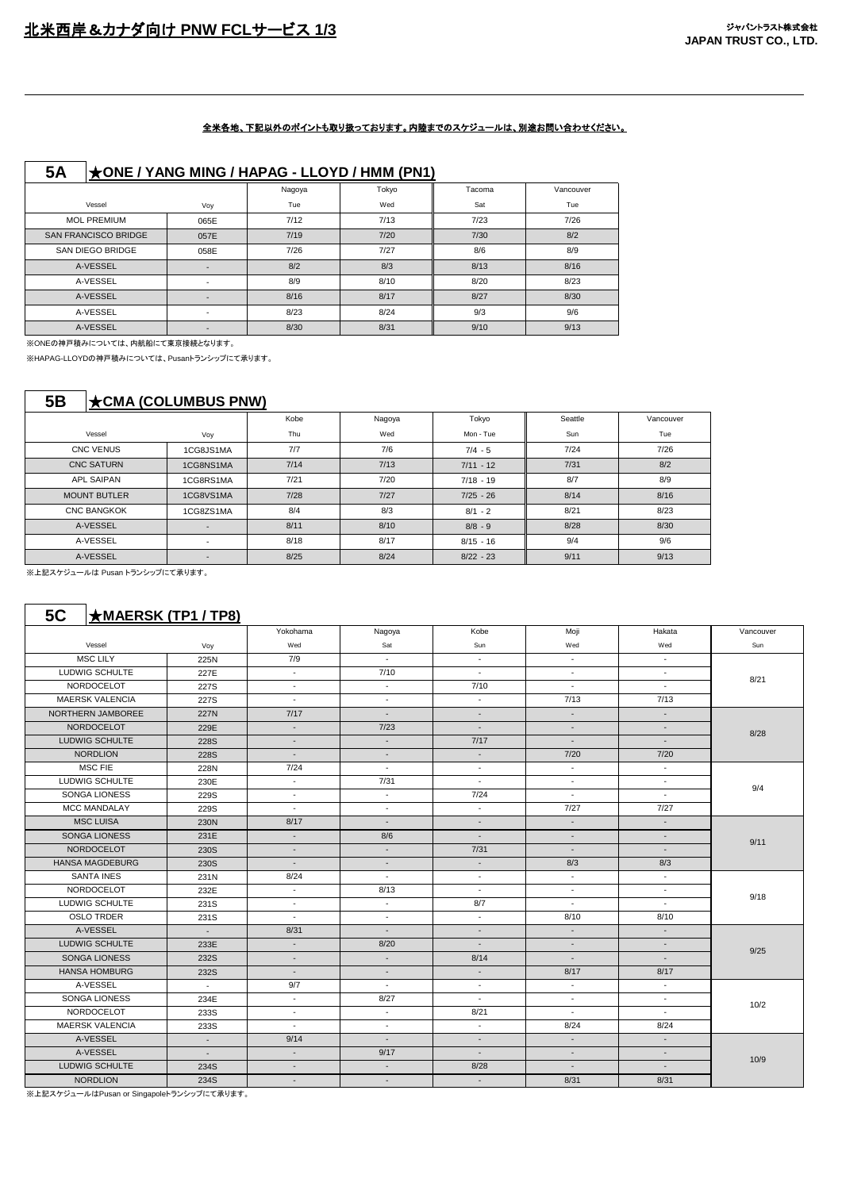#### 全米各地、下記以外のポイントも取り扱っております。内陸までのスケジュールは、別途お問い合わせください。

|--|

|                             |                          | Nagoya | Tokyo | Tacoma | Vancouver |
|-----------------------------|--------------------------|--------|-------|--------|-----------|
| Vessel                      | Voy                      | Tue    | Wed   | Sat    | Tue       |
| <b>MOL PREMIUM</b>          | 065E                     | 7/12   | 7/13  | 7/23   | 7/26      |
| <b>SAN FRANCISCO BRIDGE</b> | 057E                     | 7/19   | 7/20  | 7/30   | 8/2       |
| SAN DIEGO BRIDGE            | 058E                     | 7/26   | 7/27  | 8/6    | 8/9       |
| A-VESSEL                    |                          | 8/2    | 8/3   | 8/13   | 8/16      |
| A-VESSEL                    | $\overline{\phantom{a}}$ | 8/9    | 8/10  | 8/20   | 8/23      |
| A-VESSEL                    | $\overline{\phantom{0}}$ | 8/16   | 8/17  | 8/27   | 8/30      |
| A-VESSEL                    |                          | 8/23   | 8/24  | 9/3    | 9/6       |
| A-VESSEL                    |                          | 8/30   | 8/31  | 9/10   | 9/13      |

※ONEの神戸積みについては、内航船にて東京接続となります。

※HAPAG-LLOYDの神戸積みについては、Pusanトランシップにて承ります。

### **5B** ★**CMA (COLUMBUS PNW)**

|                     |                          | Kobe | Nagoya | Tokyo       | Seattle | Vancouver |
|---------------------|--------------------------|------|--------|-------------|---------|-----------|
| Vessel              | Voy                      | Thu  | Wed    | Mon - Tue   | Sun     | Tue       |
| <b>CNC VENUS</b>    | 1CG8JS1MA                | 7/7  | 7/6    | $7/4 - 5$   | 7/24    | 7/26      |
| <b>CNC SATURN</b>   | 1CG8NS1MA                | 7/14 | 7/13   | $7/11 - 12$ | 7/31    | 8/2       |
| <b>APL SAIPAN</b>   | 1CG8RS1MA                | 7/21 | 7/20   | $7/18 - 19$ | 8/7     | 8/9       |
| <b>MOUNT BUTLER</b> | 1CG8VS1MA                | 7/28 | $7/27$ | $7/25 - 26$ | 8/14    | 8/16      |
| <b>CNC BANGKOK</b>  | 1CG8ZS1MA                | 8/4  | 8/3    | $8/1 - 2$   | 8/21    | 8/23      |
| A-VESSEL            | $\overline{\phantom{a}}$ | 8/11 | 8/10   | $8/8 - 9$   | 8/28    | 8/30      |
| A-VESSEL            | $\overline{\phantom{a}}$ | 8/18 | 8/17   | $8/15 - 16$ | 9/4     | 9/6       |
| A-VESSEL            | $\overline{\phantom{a}}$ | 8/25 | 8/24   | $8/22 - 23$ | 9/11    | 9/13      |

※上記スケジュールは Pusan トランシップにて承ります。

|                        |                          | Yokohama                 | Nagoya                      | Kobe                     | Moji                     | Hakata                   | Vancouver |
|------------------------|--------------------------|--------------------------|-----------------------------|--------------------------|--------------------------|--------------------------|-----------|
| Vessel                 | Voy                      | Wed                      | Sat                         | Sun                      | Wed                      | Wed                      | Sun       |
| <b>MSC LILY</b>        | 225N                     | 7/9                      | $\mathcal{L}_{\mathcal{A}}$ | $\sim$                   | $\sim$                   | $\sim$                   |           |
| LUDWIG SCHULTE         | 227E                     | $\sim$                   | 7/10                        | $\sim$                   | $\sim$                   | $\blacksquare$           |           |
| NORDOCELOT             | 227S                     | ш.                       | ٠                           | 7/10                     | $\sim$                   | $\sim$                   | 8/21      |
| <b>MAERSK VALENCIA</b> | 227S                     | $\sim$                   | $\sim$                      | $\sim$                   | 7/13                     | 7/13                     |           |
| NORTHERN JAMBOREE      | 227N                     | 7/17                     | $\blacksquare$              |                          | $\overline{\phantom{a}}$ | $\overline{\phantom{a}}$ |           |
| <b>NORDOCELOT</b>      | 229E                     | $\overline{\phantom{a}}$ | 7/23                        | $\overline{\phantom{a}}$ | $\overline{\phantom{a}}$ | $\overline{\phantom{a}}$ |           |
| LUDWIG SCHULTE         | 228S                     | $\overline{\phantom{a}}$ | $\sim$                      | 7/17                     | $\overline{\phantom{a}}$ | $\overline{\phantom{a}}$ | 8/28      |
| <b>NORDLION</b>        | <b>228S</b>              | $\sim$                   | $\overline{a}$              | $\sim$                   | 7/20                     | 7/20                     |           |
| <b>MSC FIE</b>         | 228N                     | 7/24                     | $\sim$                      | $\sim$                   | $\sim$                   | $\sim$                   |           |
| LUDWIG SCHULTE         | 230E                     | $\sim$                   | 7/31                        | $\sim$                   | $\sim$                   | $\sim$                   | 9/4       |
| <b>SONGA LIONESS</b>   | 229S                     | $\overline{\phantom{a}}$ | $\sim$                      | 7/24                     | $\sim$                   | $\sim$                   |           |
| <b>MCC MANDALAY</b>    | 229S                     | $\sim$                   | $\sim$                      | $\sim$                   | 7/27                     | 7/27                     |           |
| <b>MSC LUISA</b>       | 230N                     | 8/17                     | $\overline{a}$              | $\sim$                   | $\sim$                   | $\sim$                   | 9/11      |
| <b>SONGA LIONESS</b>   | 231E                     | $\overline{\phantom{a}}$ | 8/6                         | $\overline{\phantom{a}}$ | $\blacksquare$           | $\blacksquare$           |           |
| NORDOCELOT             | 230S                     | $\overline{\phantom{a}}$ | $\blacksquare$              | 7/31                     | $\sim$                   | $\overline{\phantom{a}}$ |           |
| <b>HANSA MAGDEBURG</b> | 230S                     | $\overline{\phantom{a}}$ | $\overline{\phantom{a}}$    | $\sim$                   | 8/3                      | 8/3                      |           |
| <b>SANTA INES</b>      | 231N                     | 8/24                     | $\blacksquare$              | $\overline{\phantom{a}}$ | $\blacksquare$           | $\blacksquare$           |           |
| NORDOCELOT             | 232E                     | $\sim$                   | 8/13                        | $\sim$                   | $\sim$                   | $\sim$                   | 9/18      |
| LUDWIG SCHULTE         | 231S                     | $\blacksquare$           | $\sim$                      | 8/7                      | $\overline{\phantom{a}}$ | $\blacksquare$           |           |
| <b>OSLO TRDER</b>      | 231S                     | $\blacksquare$           | $\blacksquare$              | $\sim$                   | 8/10                     | 8/10                     |           |
| A-VESSEL               | $\sim$                   | 8/31                     | $\overline{\phantom{a}}$    | $\sim$                   | $\sim$                   | $\blacksquare$           |           |
| LUDWIG SCHULTE         | 233E                     | $\overline{\phantom{a}}$ | 8/20                        |                          | $\blacksquare$           | $\blacksquare$           |           |
| <b>SONGA LIONESS</b>   | 232S                     | $\sim$                   | $\overline{\phantom{a}}$    | 8/14                     | $\overline{a}$           | $\overline{a}$           | 9/25      |
| <b>HANSA HOMBURG</b>   | 232S                     | $\sim$                   | $\overline{\phantom{a}}$    | $\sim$                   | 8/17                     | 8/17                     |           |
| A-VESSEL               | $\sim$                   | 9/7                      | $\overline{\phantom{a}}$    | $\sim$                   | $\overline{\phantom{a}}$ | $\blacksquare$           |           |
| SONGA LIONESS          | 234E                     | $\overline{\phantom{a}}$ | 8/27                        | $\overline{\phantom{a}}$ | $\overline{\phantom{a}}$ | $\blacksquare$           | 10/2      |
| NORDOCELOT             | 233S                     | $\blacksquare$           | $\sim$                      | 8/21                     | $\overline{\phantom{a}}$ | $\blacksquare$           |           |
| <b>MAERSK VALENCIA</b> | 233S                     | ÷.                       | ٠                           | $\sim$                   | 8/24                     | 8/24                     |           |
| A-VESSEL               | $\sim$                   | 9/14                     | $\overline{\phantom{a}}$    | $\sim$                   | $\sim$                   | $\overline{\phantom{a}}$ |           |
| A-VESSEL               | $\overline{\phantom{a}}$ | $\sim$                   | 9/17                        | $\overline{\phantom{a}}$ | $\overline{a}$           | $\overline{\phantom{a}}$ |           |
| LUDWIG SCHULTE         | 234S                     | $\overline{\phantom{a}}$ | $\overline{\phantom{a}}$    | 8/28                     | $\overline{\phantom{a}}$ | $\overline{\phantom{a}}$ | 10/9      |
| <b>NORDLION</b>        | 234S                     | $\overline{\phantom{a}}$ | $\blacksquare$              | $\overline{\phantom{a}}$ | 8/31                     | 8/31                     |           |

。<br>※上記スケジュールはPusan or Singapoleトランシップにて承ります。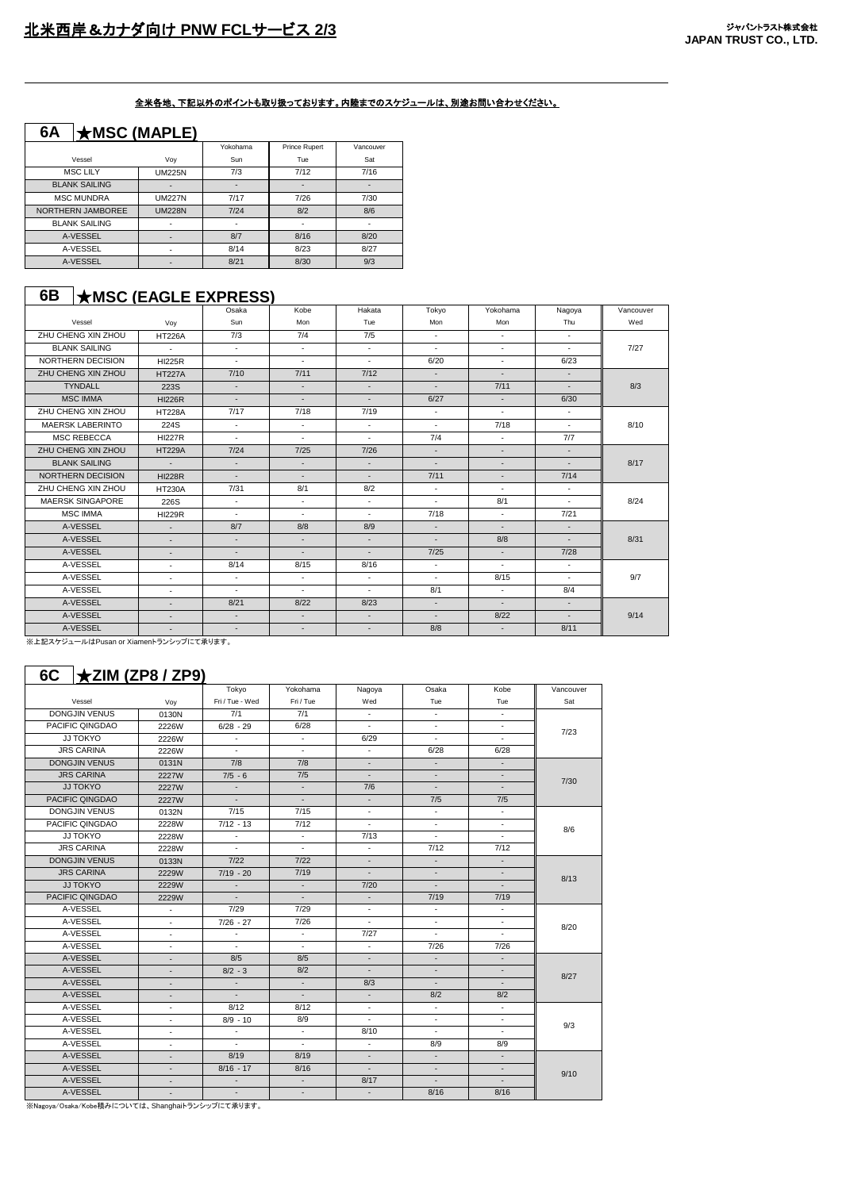#### 全米各地、下記以外のポイントも取り扱っております。内陸までのスケジュールは、別途お問い合わせください。

| 6A<br>$\star$ MSC (MAPLE) |               |          |                          |                |  |  |  |  |  |  |
|---------------------------|---------------|----------|--------------------------|----------------|--|--|--|--|--|--|
|                           |               | Yokohama | Prince Rupert            | Vancouver      |  |  |  |  |  |  |
| Vessel                    | Voy           | Sun      | Tue                      | Sat            |  |  |  |  |  |  |
| <b>MSC LILY</b>           | <b>UM225N</b> | 7/3      | 7/12                     | 7/16           |  |  |  |  |  |  |
| <b>BLANK SAILING</b>      | ۰             |          |                          |                |  |  |  |  |  |  |
| <b>MSC MUNDRA</b>         | <b>UM227N</b> | 7/17     | 7/26                     | 7/30           |  |  |  |  |  |  |
| NORTHERN JAMBOREE         | <b>UM228N</b> | 7/24     | 8/2                      | 8/6            |  |  |  |  |  |  |
| <b>BLANK SAILING</b>      | ۰             | ٠        | $\overline{\phantom{a}}$ | $\overline{a}$ |  |  |  |  |  |  |
| A-VESSEL                  |               | 8/7      | 8/16                     | 8/20           |  |  |  |  |  |  |
| A-VESSEL                  | ٠             |          | 8/23                     | 8/27           |  |  |  |  |  |  |
| A-VESSEL                  |               | 8/21     | 8/30                     | 9/3            |  |  |  |  |  |  |

## **6B** ★**MSC (EAGLE EXPRESS)**

|                         |                          | Osaka  | Kobe                     | Hakata                   | Tokyo                    | Yokohama                 | Nagoya                   | Vancouver |
|-------------------------|--------------------------|--------|--------------------------|--------------------------|--------------------------|--------------------------|--------------------------|-----------|
| Vessel                  | Voy                      | Sun    | Mon                      | Tue                      | Mon                      | Mon                      | Thu                      | Wed       |
| ZHU CHENG XIN ZHOU      | <b>HT226A</b>            | 7/3    | 7/4                      | 7/5                      | $\sim$                   | $\sim$                   | $\sim$                   |           |
| <b>BLANK SAILING</b>    | $\sim$                   | $\sim$ | $\sim$                   | $\sim$                   | $\sim$                   | $\sim$                   | $\sim$                   | 7/27      |
| NORTHERN DECISION       | <b>HI225R</b>            | $\sim$ | $\sim$                   | $\sim$                   | 6/20                     | $\sim$                   | 6/23                     |           |
| ZHU CHENG XIN ZHOU      | <b>HT227A</b>            | 7/10   | 7/11                     | 7/12                     | $\sim$                   | $\sim$                   | $\overline{\phantom{a}}$ |           |
| <b>TYNDALL</b>          | 223S                     | $\sim$ | $\overline{\phantom{a}}$ | $\sim$                   | $\sim$                   | 7/11                     | $\sim$                   | 8/3       |
| <b>MSC IMMA</b>         | <b>HI226R</b>            | $\sim$ | $\overline{\phantom{a}}$ | $\sim$                   | 6/27                     | $\sim$                   | 6/30                     |           |
| ZHU CHENG XIN ZHOU      | <b>HT228A</b>            | 7/17   | 7/18                     | 7/19                     | $\sim$                   | ×                        | $\sim$                   |           |
| <b>MAERSK LABERINTO</b> | 224S                     | $\sim$ | $\overline{\phantom{a}}$ | $\sim$                   | $\sim$                   | 7/18                     | $\overline{\phantom{a}}$ | 8/10      |
| <b>MSC REBECCA</b>      | <b>HI227R</b>            | $\sim$ | $\sim$                   | $\sim$                   | 7/4                      | ÷.                       | 7/7                      |           |
| ZHU CHENG XIN ZHOU      | <b>HT229A</b>            | 7/24   | 7/25                     | 7/26                     | $\overline{\phantom{a}}$ | $\sim$                   | $\sim$                   |           |
| <b>BLANK SAILING</b>    | ÷.                       | $\sim$ | $\sim$                   | $\sim$                   | $\overline{\phantom{a}}$ | ٠                        | $\blacksquare$           | 8/17      |
| NORTHERN DECISION       | <b>HI228R</b>            | $\sim$ | $\overline{\phantom{a}}$ | $\sim$                   | 7/11                     | $\overline{\phantom{a}}$ | 7/14                     |           |
| ZHU CHENG XIN ZHOU      | <b>HT230A</b>            | 7/31   | 8/1                      | 8/2                      | $\sim$                   | $\sim$                   | $\sim$                   |           |
| <b>MAERSK SINGAPORE</b> | 226S                     | $\sim$ | $\overline{\phantom{a}}$ | $\sim$                   | $\sim$                   | 8/1                      | $\sim$                   | 8/24      |
| <b>MSC IMMA</b>         | <b>HI229R</b>            | $\sim$ | $\overline{\phantom{a}}$ | $\sim$                   | 7/18                     | $\blacksquare$           | 7/21                     |           |
| A-VESSEL                | $\sim$                   | 8/7    | 8/8                      | 8/9                      | $\overline{\phantom{a}}$ |                          | $\sim$                   |           |
| A-VESSEL                | $\sim$                   | $\sim$ | $\blacksquare$           | $\sim$                   | $\sim$                   | 8/8                      | $\overline{\phantom{a}}$ | 8/31      |
| A-VESSEL                | ٠                        | $\sim$ | $\overline{\phantom{a}}$ | $\sim$                   | 7/25                     | $\sim$                   | 7/28                     |           |
| A-VESSEL                | $\sim$                   | 8/14   | 8/15                     | 8/16                     | $\sim$                   | $\sim$                   | $\overline{\phantom{a}}$ |           |
| A-VESSEL                | ٠                        | $\sim$ | $\blacksquare$           | $\sim$                   | $\sim$                   | 8/15                     | $\sim$                   | 9/7       |
| A-VESSEL                | $\sim$                   | $\sim$ | $\overline{\phantom{a}}$ | $\sim$                   | 8/1                      | $\sim$                   | 8/4                      |           |
| A-VESSEL                | $\overline{\phantom{a}}$ | 8/21   | 8/22                     | 8/23                     | $\sim$                   | $\overline{\phantom{a}}$ | $\overline{\phantom{a}}$ |           |
| A-VESSEL                | $\sim$                   | $\sim$ | $\mathbb{Z}^2$           | $\blacksquare$           | $\overline{\phantom{a}}$ | 8/22                     | $\mathbb{Z}^2$           | 9/14      |
| A-VESSEL                | ٠                        | $\sim$ | $\overline{\phantom{a}}$ | $\overline{\phantom{a}}$ | 8/8                      | $\overline{\phantom{a}}$ | 8/11                     |           |

-<br>※上記スケジュールはPusan or Xiamenトランシップにて承ります。

### **6C** ★**ZIM (ZP8 / ZP9)**

|                      |                          | Tokyo                    | Yokohama                 | Nagoya                   | Osaka                    | Kobe                     | Vancouver |  |  |
|----------------------|--------------------------|--------------------------|--------------------------|--------------------------|--------------------------|--------------------------|-----------|--|--|
| Vessel               | Voy                      | Fri / Tue - Wed          | Fri / Tue                | Wed                      | Tue                      | Tue                      | Sat       |  |  |
| <b>DONGJIN VENUS</b> | 0130N                    | 7/1                      | 7/1                      | $\sim$                   | $\sim$                   | $\sim$                   |           |  |  |
| PACIFIC QINGDAO      | 2226W                    | $6/28 - 29$              | 6/28                     | ÷.                       | ÷.                       |                          | 7/23      |  |  |
| JJ TOKYO             | 2226W                    | $\overline{\phantom{a}}$ | $\overline{\phantom{a}}$ | 6/29                     | ÷.                       | $\mathbf{r}$             |           |  |  |
| <b>JRS CARINA</b>    | 2226W                    | ÷.                       | $\sim$                   | $\sim$                   | 6/28                     | 6/28                     |           |  |  |
| <b>DONGJIN VENUS</b> | 0131N                    | 7/8                      | 7/8                      | $\overline{\phantom{a}}$ | $\overline{\phantom{a}}$ | ÷                        |           |  |  |
| <b>JRS CARINA</b>    | 2227W                    | $7/5 - 6$                | 7/5                      | $\overline{\phantom{a}}$ | $\frac{1}{2}$            | ÷                        | 7/30      |  |  |
| JJ TOKYO             | 2227W                    | $\sim$                   | $\overline{\phantom{a}}$ | 7/6                      | $\blacksquare$           |                          |           |  |  |
| PACIFIC QINGDAO      | 2227W                    | $\sim$                   |                          | $\overline{\phantom{a}}$ | 7/5                      | 7/5                      |           |  |  |
| <b>DONGJIN VENUS</b> | 0132N                    | 7/15                     | 7/15                     | $\blacksquare$           | $\overline{\phantom{a}}$ | $\sim$                   |           |  |  |
| PACIFIC QINGDAO      | 2228W                    | $7/12 - 13$              | 7/12                     | $\sim$                   | ÷.                       | $\sim$                   | 8/6       |  |  |
| JJ TOKYO             | 2228W                    | $\sim$                   | $\sim$                   | 7/13                     | ÷.                       | $\sim$                   |           |  |  |
| <b>JRS CARINA</b>    | 2228W                    | $\sim$                   | $\sim$                   | $\sim$                   | 7/12                     | 7/12                     |           |  |  |
| <b>DONGJIN VENUS</b> | 0133N                    | $7/22$                   | $7/22$                   |                          | $\overline{\phantom{a}}$ | $\overline{\phantom{a}}$ |           |  |  |
| <b>JRS CARINA</b>    | 2229W                    | $7/19 - 20$              | 7/19                     | $\overline{\phantom{a}}$ | $\overline{\phantom{a}}$ | $\overline{\phantom{a}}$ | 8/13      |  |  |
| JJ TOKYO             | 2229W                    | $\overline{\phantom{a}}$ | $\overline{\phantom{a}}$ | 7/20                     | $\overline{\phantom{a}}$ | ÷                        |           |  |  |
| PACIFIC QINGDAO      | 2229W                    | $\sim$                   | $\overline{\phantom{a}}$ | ÷.                       | 7/19                     | 7/19                     |           |  |  |
| A-VESSEL             | $\sim$                   | 7/29                     | 7/29                     | $\sim$                   | $\sim$                   | $\sim$                   |           |  |  |
| A-VESSEL             | $\overline{\phantom{a}}$ | $7/26 - 27$              | 7/26                     | ٠                        | $\sim$                   | $\overline{\phantom{a}}$ | 8/20      |  |  |
| A-VESSEL             | $\blacksquare$           | $\blacksquare$           | $\blacksquare$           | 7/27                     | $\sim$                   | $\sim$                   |           |  |  |
| A-VESSEL             | $\blacksquare$           | ÷.                       | $\overline{\phantom{a}}$ | $\sim$                   | 7/26                     | 7/26                     |           |  |  |
| A-VESSEL             | $\overline{\phantom{a}}$ | 8/5                      | 8/5                      |                          | $\overline{\phantom{a}}$ | $\overline{\phantom{a}}$ |           |  |  |
| A-VESSEL             | ÷,                       | $8/2 - 3$                | 8/2                      | $\sim$                   | $\blacksquare$           | $\overline{\phantom{a}}$ | 8/27      |  |  |
| A-VESSEL             | $\overline{\phantom{a}}$ | $\blacksquare$           | $\overline{\phantom{a}}$ | 8/3                      | $\overline{\phantom{a}}$ | $\overline{\phantom{a}}$ |           |  |  |
| A-VESSEL             | $\overline{\phantom{a}}$ | $\overline{\phantom{a}}$ | $\overline{\phantom{a}}$ | $\overline{\phantom{a}}$ | 8/2                      | 8/2                      |           |  |  |
| A-VESSEL             | $\overline{\phantom{a}}$ | 8/12                     | 8/12                     | $\blacksquare$           | $\blacksquare$           | $\blacksquare$           |           |  |  |
| A-VESSEL             | ٠                        | $8/9 - 10$               | 8/9                      | $\sim$                   | $\sim$                   | $\blacksquare$           | 9/3       |  |  |
| A-VESSEL             | ÷.                       | ÷.                       | $\sim$                   | 8/10                     | $\sim$                   | $\blacksquare$           |           |  |  |
| A-VESSEL             | $\overline{\phantom{a}}$ | $\sim$                   | $\blacksquare$           | $\sim$                   | 8/9                      | 8/9                      |           |  |  |
| A-VESSEL             | $\sim$                   | 8/19                     | 8/19                     | $\overline{\phantom{a}}$ | $\overline{\phantom{a}}$ | $\overline{\phantom{a}}$ |           |  |  |
| A-VESSEL             |                          | $8/16 - 17$              | 8/16                     | ÷.                       | $\overline{\phantom{a}}$ | $\overline{\phantom{a}}$ | 9/10      |  |  |
| A-VESSEL             | ٠                        | $\overline{\phantom{a}}$ | $\overline{\phantom{a}}$ | 8/17                     | $\blacksquare$           | $\overline{\phantom{a}}$ |           |  |  |
| A-VESSEL             | ÷                        | $\sim$                   | $\overline{\phantom{a}}$ | ٠                        | 8/16                     | 8/16                     |           |  |  |

。<br>※Nagoya/Osaka/Kobe積みについては、Shanghaiトランシップにて承ります。